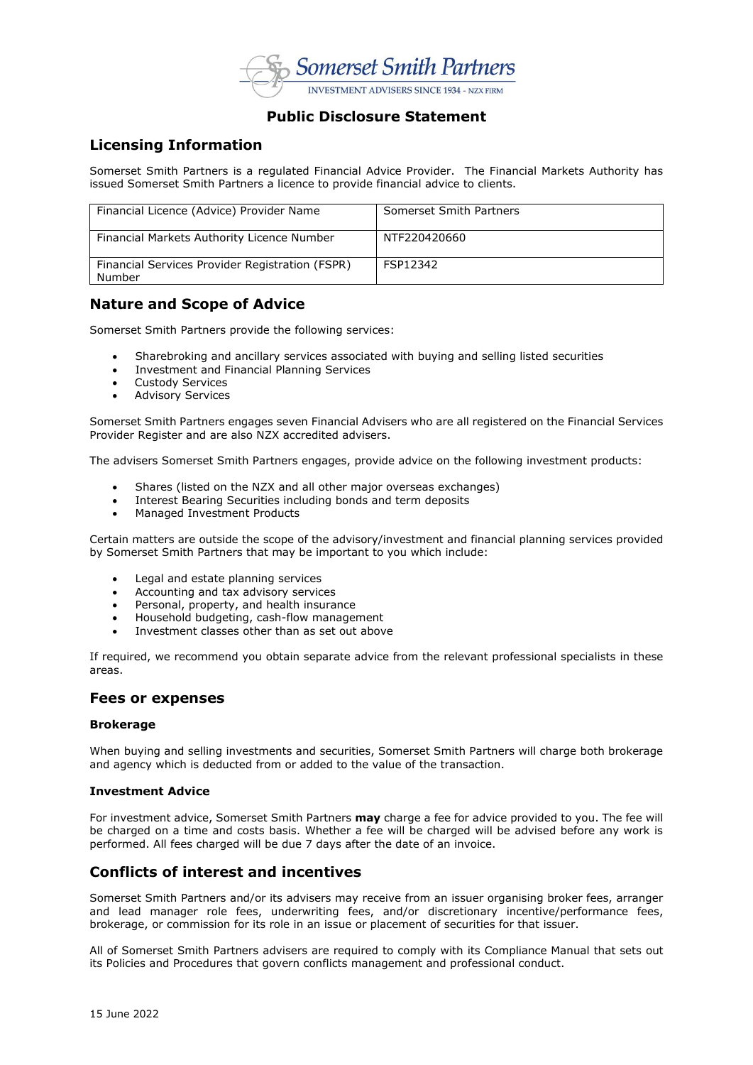

## **Public Disclosure Statement**

# **Licensing Information**

Somerset Smith Partners is a regulated Financial Advice Provider. The Financial Markets Authority has issued Somerset Smith Partners a licence to provide financial advice to clients.

| Financial Licence (Advice) Provider Name                  | Somerset Smith Partners |
|-----------------------------------------------------------|-------------------------|
| Financial Markets Authority Licence Number                | NTF220420660            |
| Financial Services Provider Registration (FSPR)<br>Number | FSP12342                |

# **Nature and Scope of Advice**

Somerset Smith Partners provide the following services:

- Sharebroking and ancillary services associated with buying and selling listed securities
- Investment and Financial Planning Services
- Custody Services
- Advisory Services

Somerset Smith Partners engages seven Financial Advisers who are all registered on the Financial Services Provider Register and are also NZX accredited advisers.

The advisers Somerset Smith Partners engages, provide advice on the following investment products:

- Shares (listed on the NZX and all other major overseas exchanges)
- Interest Bearing Securities including bonds and term deposits
- Managed Investment Products

Certain matters are outside the scope of the advisory/investment and financial planning services provided by Somerset Smith Partners that may be important to you which include:

- Legal and estate planning services
- Accounting and tax advisory services
- Personal, property, and health insurance
- Household budgeting, cash-flow management
- Investment classes other than as set out above

If required, we recommend you obtain separate advice from the relevant professional specialists in these areas.

### **Fees or expenses**

#### **Brokerage**

When buying and selling investments and securities, Somerset Smith Partners will charge both brokerage and agency which is deducted from or added to the value of the transaction.

#### **Investment Advice**

For investment advice, Somerset Smith Partners **may** charge a fee for advice provided to you. The fee will be charged on a time and costs basis. Whether a fee will be charged will be advised before any work is performed. All fees charged will be due 7 days after the date of an invoice.

# **Conflicts of interest and incentives**

Somerset Smith Partners and/or its advisers may receive from an issuer organising broker fees, arranger and lead manager role fees, underwriting fees, and/or discretionary incentive/performance fees, brokerage, or commission for its role in an issue or placement of securities for that issuer.

All of Somerset Smith Partners advisers are required to comply with its Compliance Manual that sets out its Policies and Procedures that govern conflicts management and professional conduct.